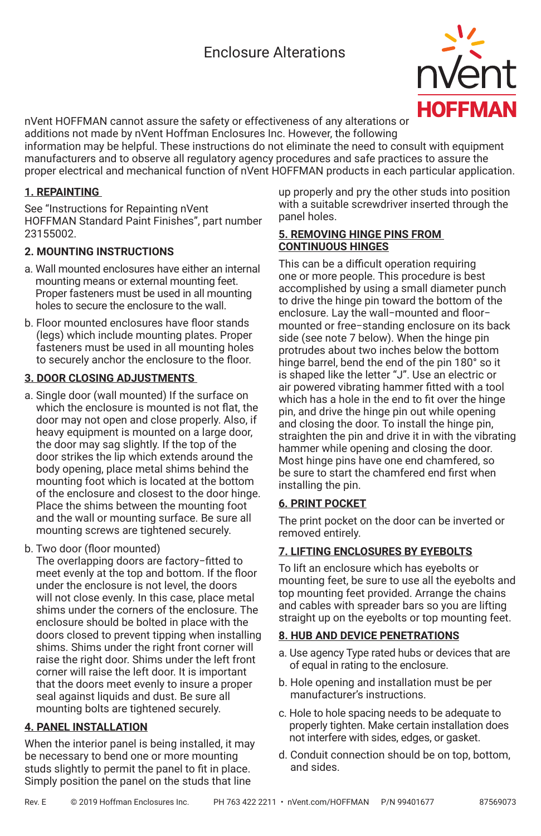# Enclosure Alterations



nVent HOFFMAN cannot assure the safety or effectiveness of any alterations or additions not made by nVent Hoffman Enclosures Inc. However, the following

information may be helpful. These instructions do not eliminate the need to consult with equipment manufacturers and to observe all regulatory agency procedures and safe practices to assure the proper electrical and mechanical function of nVent HOFFMAN products in each particular application.

## **1. REPAINTING**

See "Instructions for Repainting nVent HOFFMAN Standard Paint Finishes", part number 23155002.

## **2. MOUNTING INSTRUCTIONS**

- a. Wall mounted enclosures have either an internal mounting means or external mounting feet. Proper fasteners must be used in all mounting holes to secure the enclosure to the wall.
- b. Floor mounted enclosures have floor stands (legs) which include mounting plates. Proper fasteners must be used in all mounting holes to securely anchor the enclosure to the floor.

### **3. DOOR CLOSING ADJUSTMENTS**

- a. Single door (wall mounted) If the surface on which the enclosure is mounted is not flat, the door may not open and close properly. Also, if heavy equipment is mounted on a large door, the door may sag slightly. If the top of the door strikes the lip which extends around the body opening, place metal shims behind the mounting foot which is located at the bottom of the enclosure and closest to the door hinge. Place the shims between the mounting foot and the wall or mounting surface. Be sure all mounting screws are tightened securely.
- b. Two door (floor mounted)

The overlapping doors are factory−fitted to meet evenly at the top and bottom. If the floor under the enclosure is not level, the doors will not close evenly. In this case, place metal shims under the corners of the enclosure. The enclosure should be bolted in place with the doors closed to prevent tipping when installing shims. Shims under the right front corner will raise the right door. Shims under the left front corner will raise the left door. It is important that the doors meet evenly to insure a proper seal against liquids and dust. Be sure all mounting bolts are tightened securely.

# **4. PANEL INSTALLATION**

When the interior panel is being installed, it may be necessary to bend one or more mounting studs slightly to permit the panel to fit in place. Simply position the panel on the studs that line

up properly and pry the other studs into position with a suitable screwdriver inserted through the panel holes.

### **5. REMOVING HINGE PINS FROM CONTINUOUS HINGES**

This can be a difficult operation requiring one or more people. This procedure is best accomplished by using a small diameter punch to drive the hinge pin toward the bottom of the enclosure. Lay the wall−mounted and floor− mounted or free−standing enclosure on its back side (see note 7 below). When the hinge pin protrudes about two inches below the bottom hinge barrel, bend the end of the pin 180° so it is shaped like the letter "J". Use an electric or air powered vibrating hammer fitted with a tool which has a hole in the end to fit over the hinge pin, and drive the hinge pin out while opening and closing the door. To install the hinge pin, straighten the pin and drive it in with the vibrating hammer while opening and closing the door. Most hinge pins have one end chamfered, so be sure to start the chamfered end first when installing the pin.

# **6. PRINT POCKET**

The print pocket on the door can be inverted or removed entirely.

# **7. LIFTING ENCLOSURES BY EYEBOLTS**

To lift an enclosure which has eyebolts or mounting feet, be sure to use all the eyebolts and top mounting feet provided. Arrange the chains and cables with spreader bars so you are lifting straight up on the eyebolts or top mounting feet.

### **8. HUB AND DEVICE PENETRATIONS**

- a. Use agency Type rated hubs or devices that are of equal in rating to the enclosure.
- b. Hole opening and installation must be per manufacturer's instructions.
- c. Hole to hole spacing needs to be adequate to properly tighten. Make certain installation does not interfere with sides, edges, or gasket.
- d. Conduit connection should be on top, bottom, and sides.